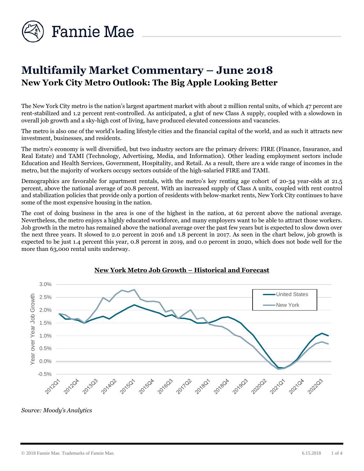

# **Multifamily Market Commentary – June 2018 New York City Metro Outlook: The Big Apple Looking Better**

The New York City metro is the nation's largest apartment market with about 2 million rental units, of which 47 percent are rent-stabilized and 1.2 percent rent-controlled. As anticipated, a glut of new Class A supply, coupled with a slowdown in overall job growth and a sky-high cost of living, have produced elevated concessions and vacancies.

The metro is also one of the world's leading lifestyle cities and the financial capital of the world, and as such it attracts new investment, businesses, and residents.

The metro's economy is well diversified, but two industry sectors are the primary drivers: FIRE (Finance, Insurance, and Real Estate) and TAMI (Technology, Advertising, Media, and Information). Other leading employment sectors include Education and Health Services, Government, Hospitality, and Retail. As a result, there are a wide range of incomes in the metro, but the majority of workers occupy sectors outside of the high-salaried FIRE and TAMI.

Demographics are favorable for apartment rentals, with the metro's key renting age cohort of 20-34 year-olds at 21.5 percent, above the national average of 20.8 percent. With an increased supply of Class A units, coupled with rent control and stabilization policies that provide only a portion of residents with below-market rents, New York City continues to have some of the most expensive housing in the nation.

The cost of doing business in the area is one of the highest in the nation, at 62 percent above the national average. Nevertheless, the metro enjoys a highly educated workforce, and many employers want to be able to attract those workers. Job growth in the metro has remained above the national average over the past few years but is expected to slow down over the next three years. It slowed to 2.0 percent in 2016 and 1.8 percent in 2017. As seen in the chart below, job growth is expected to be just 1.4 percent this year, 0.8 percent in 2019, and 0.0 percent in 2020, which does not bode well for the more than 63,000 rental units underway.



### **New York Metro Job Growth – Historical and Forecast**

*Source: Moody's Analytics*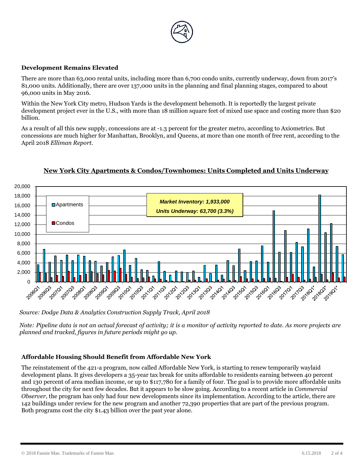

#### **Development Remains Elevated**

There are more than 63,000 rental units, including more than 6,700 condo units, currently underway, down from 2017's 81,000 units. Additionally, there are over 137,000 units in the planning and final planning stages, compared to about 96,000 units in May 2016.

Within the New York City metro, Hudson Yards is the development behemoth. It is reportedly the largest private development project ever in the U.S., with more than 18 million square feet of mixed use space and costing more than \$20 billion.

As a result of all this new supply, concessions are at -1.3 percent for the greater metro, according to Axiometrics. But concessions are much higher for Manhattan, Brooklyn, and Queens, at more than one month of free rent, according to the April 2018 *Elliman Report.*



## **New York City Apartments & Condos/Townhomes: Units Completed and Units Underway**

*Source: Dodge Data & Analytics Construction Supply Track, April 2018*

*Note: Pipeline data is not an actual forecast of activity; it is a monitor of activity reported to date. As more projects are planned and tracked, figures in future periods might go up.*

### **Affordable Housing Should Benefit from Affordable New York**

The reinstatement of the 421-a program, now called Affordable New York, is starting to renew temporarily waylaid development plans. It gives developers a 35-year tax break for units affordable to residents earning between 40 percent and 130 percent of area median income, or up to \$117,780 for a family of four. The goal is to provide more affordable units throughout the city for next few decades. But it appears to be slow going. According to a recent article in *Commercial Observer*, the program has only had four new developments since its implementation. According to the article, there are 142 buildings under review for the new program and another 72,390 properties that are part of the previous program. Both programs cost the city \$1.43 billion over the past year alone.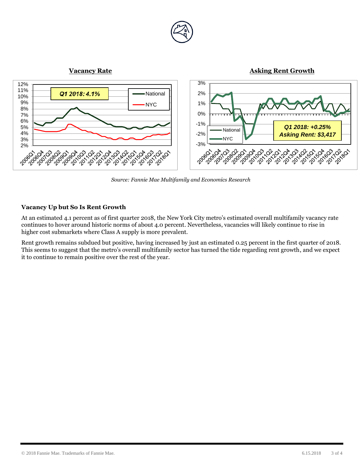

*Source: Fannie Mae Multifamily and Economics Research* 

### **Vacancy Up but So Is Rent Growth**

At an estimated 4.1 percent as of first quarter 2018, the New York City metro's estimated overall multifamily vacancy rate continues to hover around historic norms of about 4.0 percent. Nevertheless, vacancies will likely continue to rise in higher cost submarkets where Class A supply is more prevalent.

Rent growth remains subdued but positive, having increased by just an estimated 0.25 percent in the first quarter of 2018. This seems to suggest that the metro's overall multifamily sector has turned the tide regarding rent growth, and we expect it to continue to remain positive over the rest of the year.